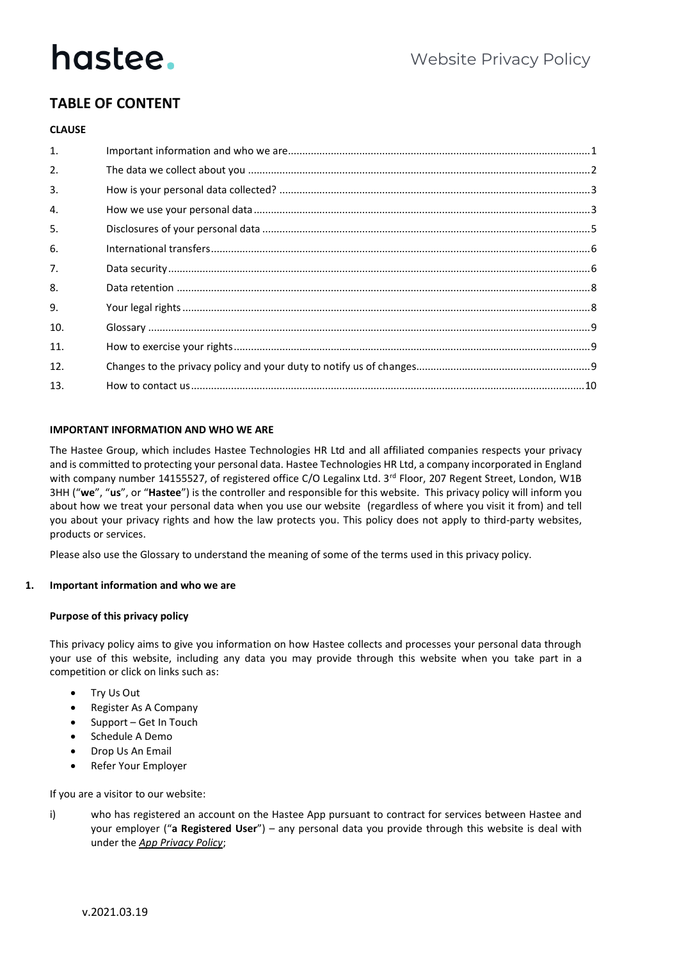### **TABLE OF CONTENT**

### **CLAUSE**

| 1.               |  |
|------------------|--|
| 2.               |  |
| $\overline{3}$ . |  |
| 4.               |  |
| 5.               |  |
| 6.               |  |
| 7 <sub>1</sub>   |  |
| 8.               |  |
| 9.               |  |
| 10.              |  |
| 11.              |  |
| 12.              |  |
| 13.              |  |

### **IMPORTANT INFORMATION AND WHO WE ARE**

The Hastee Group, which includes Hastee Technologies HR Ltd and all affiliated companies respects your privacy and is committed to protecting your personal data. Hastee Technologies HR Ltd, a company incorporated in England with company number 14155527, of registered office C/O Legalinx Ltd. 3<sup>rd</sup> Floor, 207 Regent Street, London, W1B 3HH ("**we**", "**us**", or "**Hastee**") is the controller and responsible for this website. This privacy policy will inform you about how we treat your personal data when you use our website (regardless of where you visit it from) and tell you about your privacy rights and how the law protects you. This policy does not apply to third-party websites, products or services.

<span id="page-0-0"></span>Please also use the Glossary to understand the meaning of some of the terms used in this privacy policy.

### **1. Important information and who we are**

### **Purpose of this privacy policy**

This privacy policy aims to give you information on how Hastee collects and processes your personal data through your use of this website, including any data you may provide through this website when you take part in a competition or click on links such as:

- Try Us Out
- Register As A Company
- Support Get In Touch
- Schedule A Demo
- Drop Us An Email
- Refer Your Employer

If you are a visitor to our website:

i) who has registered an account on the Hastee App pursuant to contract for services between Hastee and your employer ("**a Registered User**") – any personal data you provide through this website is deal with under the *[App Privacy Policy](https://www.hastee.com/app-policy/)*;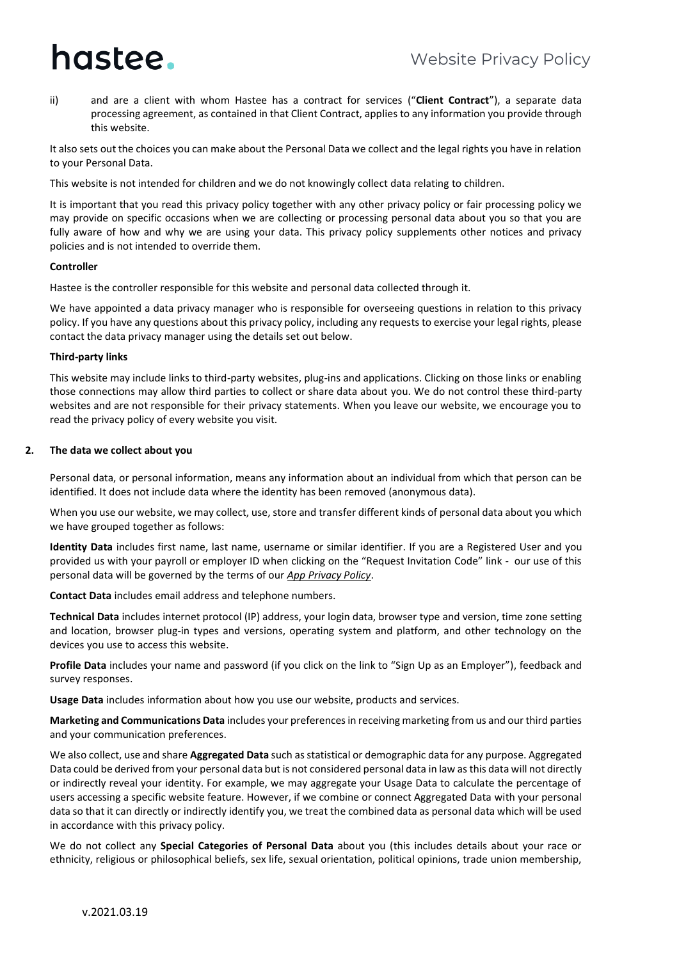ii) and are a client with whom Hastee has a contract for services ("**Client Contract**"), a separate data processing agreement, as contained in that Client Contract, applies to any information you provide through this website.

It also sets out the choices you can make about the Personal Data we collect and the legal rights you have in relation to your Personal Data.

This website is not intended for children and we do not knowingly collect data relating to children.

It is important that you read this privacy policy together with any other privacy policy or fair processing policy we may provide on specific occasions when we are collecting or processing personal data about you so that you are fully aware of how and why we are using your data. This privacy policy supplements other notices and privacy policies and is not intended to override them.

### **Controller**

Hastee is the controller responsible for this website and personal data collected through it.

We have appointed a data privacy manager who is responsible for overseeing questions in relation to this privacy policy. If you have any questions about this privacy policy, including any requests to exercise your legal rights, please contact the data privacy manager using the details set out below.

#### **Third-party links**

This website may include links to third-party websites, plug-ins and applications. Clicking on those links or enabling those connections may allow third parties to collect or share data about you. We do not control these third-party websites and are not responsible for their privacy statements. When you leave our website, we encourage you to read the privacy policy of every website you visit.

### <span id="page-1-0"></span>**2. The data we collect about you**

Personal data, or personal information, means any information about an individual from which that person can be identified. It does not include data where the identity has been removed (anonymous data).

When you use our website, we may collect, use, store and transfer different kinds of personal data about you which we have grouped together as follows:

**Identity Data** includes first name, last name, username or similar identifier. If you are a Registered User and you provided us with your payroll or employer ID when clicking on the "Request Invitation Code" link - our use of this personal data will be governed by the terms of our *[App Privacy Policy](https://www.hastee.com/app-policy/)*.

**Contact Data** includes email address and telephone numbers.

**Technical Data** includes internet protocol (IP) address, your login data, browser type and version, time zone setting and location, browser plug-in types and versions, operating system and platform, and other technology on the devices you use to access this website.

**Profile Data** includes your name and password (if you click on the link to "Sign Up as an Employer"), feedback and survey responses.

**Usage Data** includes information about how you use our website, products and services.

**Marketing and Communications Data** includes your preferences in receiving marketing from us and our third parties and your communication preferences.

We also collect, use and share **Aggregated Data** such as statistical or demographic data for any purpose. Aggregated Data could be derived from your personal data but is not considered personal data in law as this data will not directly or indirectly reveal your identity. For example, we may aggregate your Usage Data to calculate the percentage of users accessing a specific website feature. However, if we combine or connect Aggregated Data with your personal data so that it can directly or indirectly identify you, we treat the combined data as personal data which will be used in accordance with this privacy policy.

We do not collect any **Special Categories of Personal Data** about you (this includes details about your race or ethnicity, religious or philosophical beliefs, sex life, sexual orientation, political opinions, trade union membership,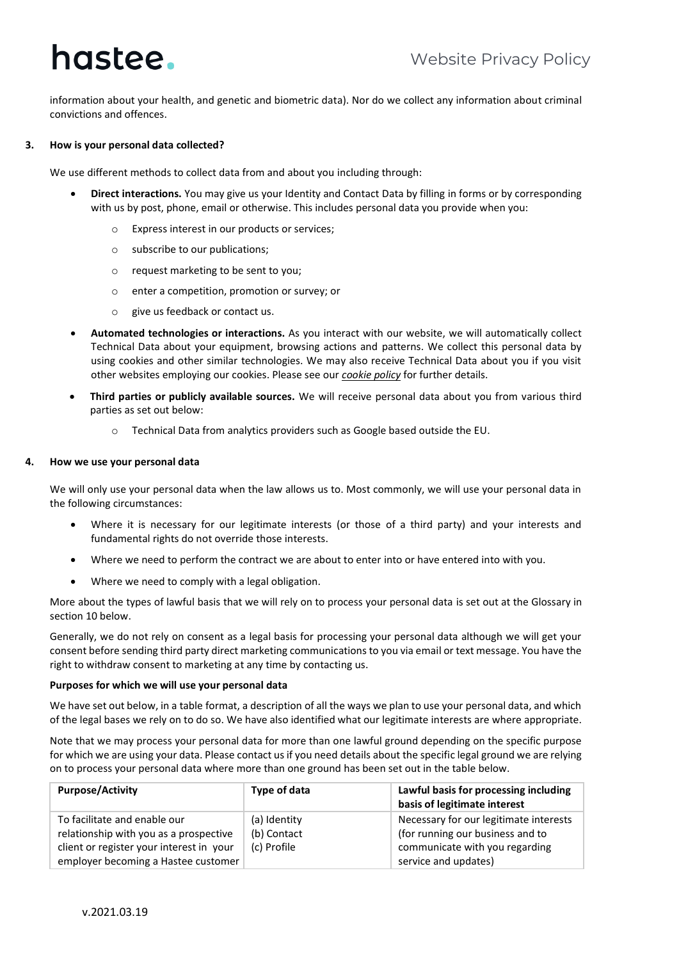information about your health, and genetic and biometric data). Nor do we collect any information about criminal convictions and offences.

#### <span id="page-2-0"></span>**3. How is your personal data collected?**

We use different methods to collect data from and about you including through:

- **Direct interactions.** You may give us your Identity and Contact Data by filling in forms or by corresponding with us by post, phone, email or otherwise. This includes personal data you provide when you:
	- o Express interest in our products or services;
	- o subscribe to our publications;
	- o request marketing to be sent to you;
	- o enter a competition, promotion or survey; or
	- o give us feedback or contact us.
- **Automated technologies or interactions.** As you interact with our website, we will automatically collect Technical Data about your equipment, browsing actions and patterns. We collect this personal data by using cookies and other similar technologies. We may also receive Technical Data about you if you visit other websites employing our cookies. Please see our *[cookie policy](https://www.hastee.com/cookie-policy/)* for further details.
- **Third parties or publicly available sources.** We will receive personal data about you from various third parties as set out below:
	- o Technical Data from analytics providers such as Google based outside the EU.

#### <span id="page-2-1"></span>**4. How we use your personal data**

We will only use your personal data when the law allows us to. Most commonly, we will use your personal data in the following circumstances:

- Where it is necessary for our legitimate interests (or those of a third party) and your interests and fundamental rights do not override those interests.
- Where we need to perform the contract we are about to enter into or have entered into with you.
- Where we need to comply with a legal obligation.

More about the types of lawful basis that we will rely on to process your personal data is set out at the Glossary in section 10 below.

Generally, we do not rely on consent as a legal basis for processing your personal data although we will get your consent before sending third party direct marketing communications to you via email or text message. You have the right to withdraw consent to marketing at any time by contacting us.

#### **Purposes for which we will use your personal data**

We have set out below, in a table format, a description of all the ways we plan to use your personal data, and which of the legal bases we rely on to do so. We have also identified what our legitimate interests are where appropriate.

Note that we may process your personal data for more than one lawful ground depending on the specific purpose for which we are using your data. Please contact us if you need details about the specific legal ground we are relying on to process your personal data where more than one ground has been set out in the table below.

| <b>Purpose/Activity</b>                                                                                            | Type of data                               | Lawful basis for processing including<br>basis of legitimate interest                                        |
|--------------------------------------------------------------------------------------------------------------------|--------------------------------------------|--------------------------------------------------------------------------------------------------------------|
| To facilitate and enable our<br>relationship with you as a prospective<br>client or register your interest in your | (a) Identity<br>(b) Contact<br>(c) Profile | Necessary for our legitimate interests<br>(for running our business and to<br>communicate with you regarding |
| employer becoming a Hastee customer                                                                                |                                            | service and updates)                                                                                         |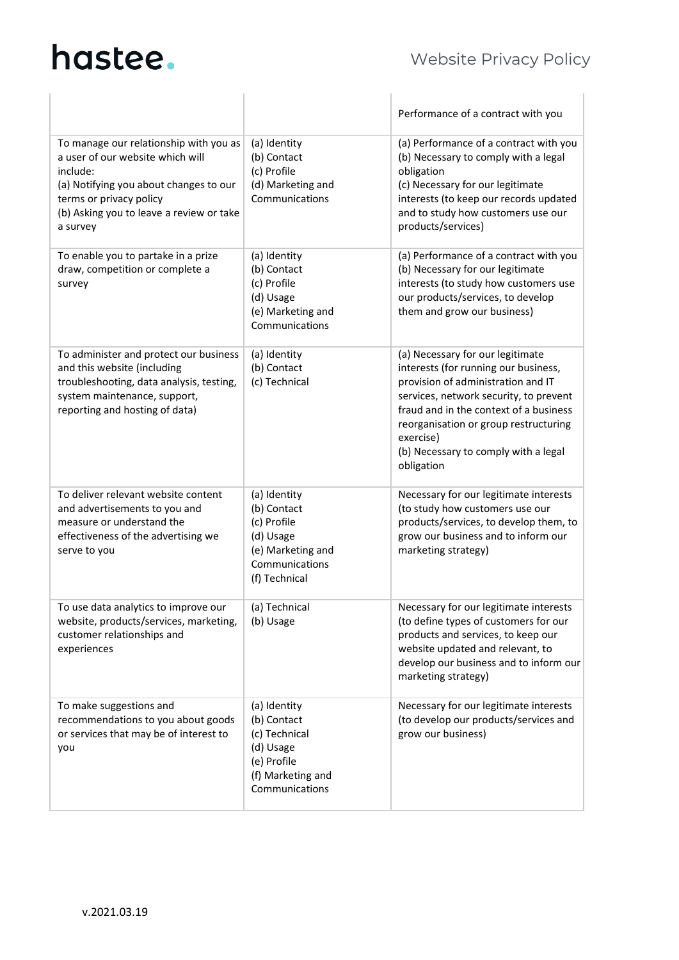|                                                                                                                                                                                                                     |                                                                                                                 | Performance of a contract with you                                                                                                                                                                                                                                                                             |
|---------------------------------------------------------------------------------------------------------------------------------------------------------------------------------------------------------------------|-----------------------------------------------------------------------------------------------------------------|----------------------------------------------------------------------------------------------------------------------------------------------------------------------------------------------------------------------------------------------------------------------------------------------------------------|
| To manage our relationship with you as<br>a user of our website which will<br>include:<br>(a) Notifying you about changes to our<br>terms or privacy policy<br>(b) Asking you to leave a review or take<br>a survey | (a) Identity<br>(b) Contact<br>(c) Profile<br>(d) Marketing and<br>Communications                               | (a) Performance of a contract with you<br>(b) Necessary to comply with a legal<br>obligation<br>(c) Necessary for our legitimate<br>interests (to keep our records updated<br>and to study how customers use our<br>products/services)                                                                         |
| To enable you to partake in a prize<br>draw, competition or complete a<br>survey                                                                                                                                    | (a) Identity<br>(b) Contact<br>(c) Profile<br>(d) Usage<br>(e) Marketing and<br>Communications                  | (a) Performance of a contract with you<br>(b) Necessary for our legitimate<br>interests (to study how customers use<br>our products/services, to develop<br>them and grow our business)                                                                                                                        |
| To administer and protect our business<br>and this website (including<br>troubleshooting, data analysis, testing,<br>system maintenance, support,<br>reporting and hosting of data)                                 | (a) Identity<br>(b) Contact<br>(c) Technical                                                                    | (a) Necessary for our legitimate<br>interests (for running our business,<br>provision of administration and IT<br>services, network security, to prevent<br>fraud and in the context of a business<br>reorganisation or group restructuring<br>exercise)<br>(b) Necessary to comply with a legal<br>obligation |
| To deliver relevant website content<br>and advertisements to you and<br>measure or understand the<br>effectiveness of the advertising we<br>serve to you                                                            | (a) Identity<br>(b) Contact<br>(c) Profile<br>(d) Usage<br>(e) Marketing and<br>Communications<br>(f) Technical | Necessary for our legitimate interests<br>(to study how customers use our<br>products/services, to develop them, to<br>grow our business and to inform our<br>marketing strategy)                                                                                                                              |
| To use data analytics to improve our<br>website, products/services, marketing,<br>customer relationships and<br>experiences                                                                                         | (a) Technical<br>(b) Usage                                                                                      | Necessary for our legitimate interests<br>(to define types of customers for our<br>products and services, to keep our<br>website updated and relevant, to<br>develop our business and to inform our<br>marketing strategy)                                                                                     |
| To make suggestions and<br>recommendations to you about goods<br>or services that may be of interest to<br>you                                                                                                      | (a) Identity<br>(b) Contact<br>(c) Technical<br>(d) Usage<br>(e) Profile<br>(f) Marketing and<br>Communications | Necessary for our legitimate interests<br>(to develop our products/services and<br>grow our business)                                                                                                                                                                                                          |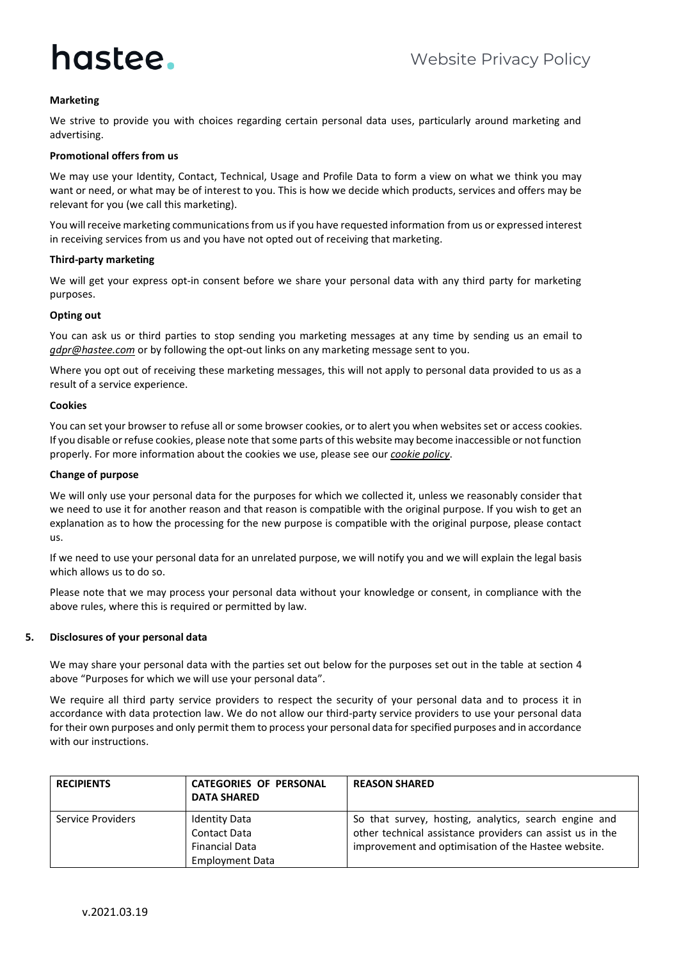#### **Marketing**

We strive to provide you with choices regarding certain personal data uses, particularly around marketing and advertising.

#### **Promotional offers from us**

We may use your Identity, Contact, Technical, Usage and Profile Data to form a view on what we think you may want or need, or what may be of interest to you. This is how we decide which products, services and offers may be relevant for you (we call this marketing).

You will receive marketing communications from us if you have requested information from us or expressed interest in receiving services from us and you have not opted out of receiving that marketing.

#### **Third-party marketing**

We will get your express opt-in consent before we share your personal data with any third party for marketing purposes.

#### **Opting out**

You can ask us or third parties to stop sending you marketing messages at any time by sending us an email to *[gdpr@hastee.com](mailto:gdpr@hastee.com)* or by following the opt-out links on any marketing message sent to you.

Where you opt out of receiving these marketing messages, this will not apply to personal data provided to us as a result of a service experience.

#### **Cookies**

You can set your browser to refuse all or some browser cookies, or to alert you when websites set or access cookies. If you disable or refuse cookies, please note that some parts of this website may become inaccessible or not function properly. For more information about the cookies we use, please see our *[cookie policy](https://www.hastee.com/cookie-policy/)*.

#### **Change of purpose**

We will only use your personal data for the purposes for which we collected it, unless we reasonably consider that we need to use it for another reason and that reason is compatible with the original purpose. If you wish to get an explanation as to how the processing for the new purpose is compatible with the original purpose, please contact us.

If we need to use your personal data for an unrelated purpose, we will notify you and we will explain the legal basis which allows us to do so.

Please note that we may process your personal data without your knowledge or consent, in compliance with the above rules, where this is required or permitted by law.

#### <span id="page-4-0"></span>**5. Disclosures of your personal data**

We may share your personal data with the parties set out below for the purposes set out in the table at section 4 above "Purposes for which we will use your personal data".

<span id="page-4-1"></span>We require all third party service providers to respect the security of your personal data and to process it in accordance with data protection law. We do not allow our third-party service providers to use your personal data for their own purposes and only permit them to process your personal data for specified purposes and in accordance with our instructions.

| <b>RECIPIENTS</b> | <b>CATEGORIES OF PERSONAL</b><br><b>DATA SHARED</b> | <b>REASON SHARED</b>                                      |
|-------------------|-----------------------------------------------------|-----------------------------------------------------------|
| Service Providers | Identity Data                                       | So that survey, hosting, analytics, search engine and     |
|                   | <b>Contact Data</b>                                 | other technical assistance providers can assist us in the |
|                   | <b>Financial Data</b>                               | improvement and optimisation of the Hastee website.       |
|                   | <b>Employment Data</b>                              |                                                           |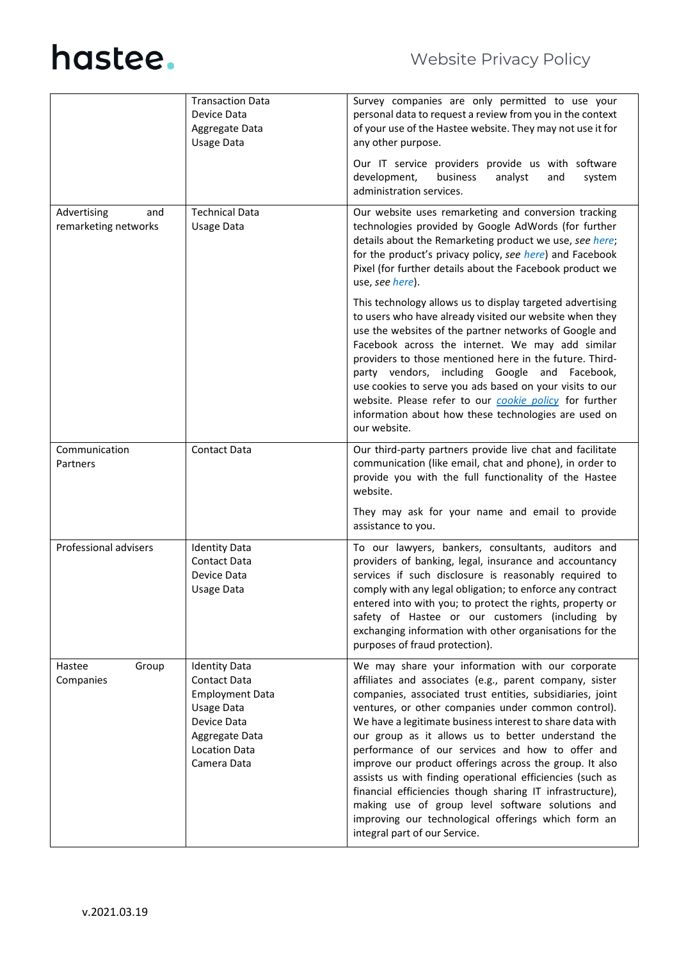

|                                            | <b>Transaction Data</b><br>Device Data<br>Aggregate Data<br><b>Usage Data</b>                                                                        | Survey companies are only permitted to use your<br>personal data to request a review from you in the context<br>of your use of the Hastee website. They may not use it for<br>any other purpose.                                                                                                                                                                                                                                                                                                                                                                                                                                                                                                                                        |
|--------------------------------------------|------------------------------------------------------------------------------------------------------------------------------------------------------|-----------------------------------------------------------------------------------------------------------------------------------------------------------------------------------------------------------------------------------------------------------------------------------------------------------------------------------------------------------------------------------------------------------------------------------------------------------------------------------------------------------------------------------------------------------------------------------------------------------------------------------------------------------------------------------------------------------------------------------------|
|                                            |                                                                                                                                                      | Our IT service providers provide us with software<br>development,<br>business<br>analyst<br>and<br>system<br>administration services.                                                                                                                                                                                                                                                                                                                                                                                                                                                                                                                                                                                                   |
| Advertising<br>and<br>remarketing networks | <b>Technical Data</b><br><b>Usage Data</b>                                                                                                           | Our website uses remarketing and conversion tracking<br>technologies provided by Google AdWords (for further<br>details about the Remarketing product we use, see here;<br>for the product's privacy policy, see here) and Facebook<br>Pixel (for further details about the Facebook product we<br>use, see here).                                                                                                                                                                                                                                                                                                                                                                                                                      |
|                                            |                                                                                                                                                      | This technology allows us to display targeted advertising<br>to users who have already visited our website when they<br>use the websites of the partner networks of Google and<br>Facebook across the internet. We may add similar<br>providers to those mentioned here in the future. Third-<br>party vendors, including Google and Facebook,<br>use cookies to serve you ads based on your visits to our<br>website. Please refer to our cookie policy for further<br>information about how these technologies are used on<br>our website.                                                                                                                                                                                            |
| Communication<br>Partners                  | Contact Data                                                                                                                                         | Our third-party partners provide live chat and facilitate<br>communication (like email, chat and phone), in order to<br>provide you with the full functionality of the Hastee<br>website.<br>They may ask for your name and email to provide                                                                                                                                                                                                                                                                                                                                                                                                                                                                                            |
| Professional advisers                      | <b>Identity Data</b><br><b>Contact Data</b><br>Device Data<br><b>Usage Data</b>                                                                      | assistance to you.<br>To our lawyers, bankers, consultants, auditors and<br>providers of banking, legal, insurance and accountancy<br>services if such disclosure is reasonably required to<br>comply with any legal obligation; to enforce any contract<br>entered into with you; to protect the rights, property or<br>safety of Hastee or our customers (including by<br>exchanging information with other organisations for the<br>purposes of fraud protection).                                                                                                                                                                                                                                                                   |
| Hastee<br>Group<br>Companies               | <b>Identity Data</b><br>Contact Data<br><b>Employment Data</b><br>Usage Data<br>Device Data<br>Aggregate Data<br><b>Location Data</b><br>Camera Data | We may share your information with our corporate<br>affiliates and associates (e.g., parent company, sister<br>companies, associated trust entities, subsidiaries, joint<br>ventures, or other companies under common control).<br>We have a legitimate business interest to share data with<br>our group as it allows us to better understand the<br>performance of our services and how to offer and<br>improve our product offerings across the group. It also<br>assists us with finding operational efficiencies (such as<br>financial efficiencies though sharing IT infrastructure),<br>making use of group level software solutions and<br>improving our technological offerings which form an<br>integral part of our Service. |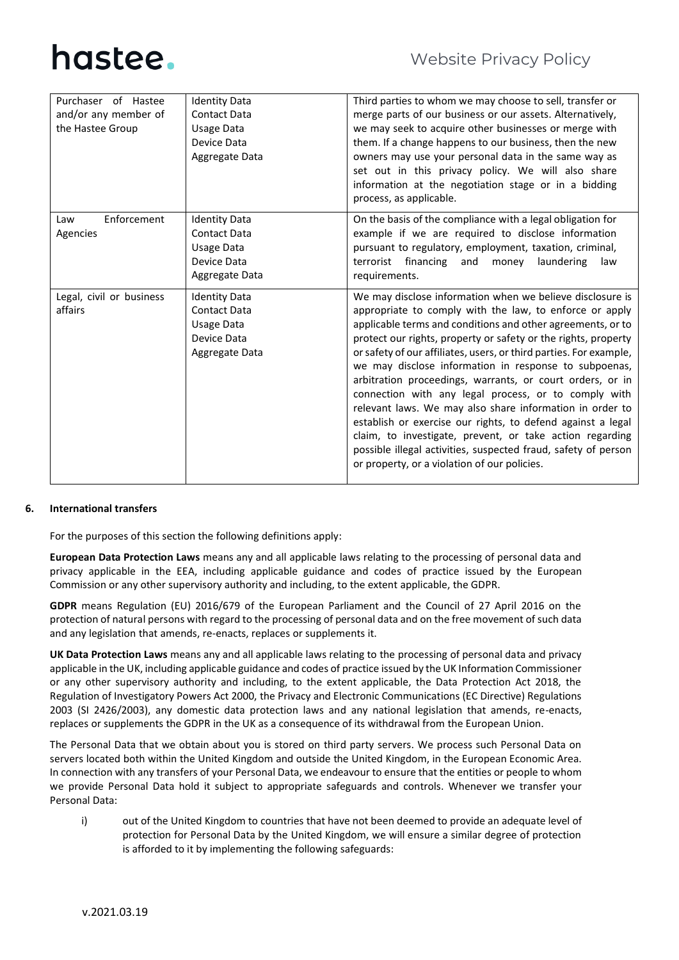

| Purchaser of Hastee<br>and/or any member of<br>the Hastee Group | <b>Identity Data</b><br><b>Contact Data</b><br>Usage Data<br>Device Data<br>Aggregate Data | Third parties to whom we may choose to sell, transfer or<br>merge parts of our business or our assets. Alternatively,<br>we may seek to acquire other businesses or merge with<br>them. If a change happens to our business, then the new<br>owners may use your personal data in the same way as<br>set out in this privacy policy. We will also share<br>information at the negotiation stage or in a bidding<br>process, as applicable.                                                                                                                                                                                                                                                                                                                                                                         |
|-----------------------------------------------------------------|--------------------------------------------------------------------------------------------|--------------------------------------------------------------------------------------------------------------------------------------------------------------------------------------------------------------------------------------------------------------------------------------------------------------------------------------------------------------------------------------------------------------------------------------------------------------------------------------------------------------------------------------------------------------------------------------------------------------------------------------------------------------------------------------------------------------------------------------------------------------------------------------------------------------------|
| Enforcement<br>Law<br>Agencies                                  | <b>Identity Data</b><br><b>Contact Data</b><br>Usage Data<br>Device Data<br>Aggregate Data | On the basis of the compliance with a legal obligation for<br>example if we are required to disclose information<br>pursuant to regulatory, employment, taxation, criminal,<br>terrorist financing and money laundering<br>law<br>requirements.                                                                                                                                                                                                                                                                                                                                                                                                                                                                                                                                                                    |
| Legal, civil or business<br>affairs                             | <b>Identity Data</b><br><b>Contact Data</b><br>Usage Data<br>Device Data<br>Aggregate Data | We may disclose information when we believe disclosure is<br>appropriate to comply with the law, to enforce or apply<br>applicable terms and conditions and other agreements, or to<br>protect our rights, property or safety or the rights, property<br>or safety of our affiliates, users, or third parties. For example,<br>we may disclose information in response to subpoenas,<br>arbitration proceedings, warrants, or court orders, or in<br>connection with any legal process, or to comply with<br>relevant laws. We may also share information in order to<br>establish or exercise our rights, to defend against a legal<br>claim, to investigate, prevent, or take action regarding<br>possible illegal activities, suspected fraud, safety of person<br>or property, or a violation of our policies. |

#### **6. International transfers**

<span id="page-6-0"></span>For the purposes of this section the following definitions apply:

**European Data Protection Laws** means any and all applicable laws relating to the processing of personal data and privacy applicable in the EEA, including applicable guidance and codes of practice issued by the European Commission or any other supervisory authority and including, to the extent applicable, the GDPR.

**GDPR** means Regulation (EU) 2016/679 of the European Parliament and the Council of 27 April 2016 on the protection of natural persons with regard to the processing of personal data and on the free movement of such data and any legislation that amends, re-enacts, replaces or supplements it.

**UK Data Protection Laws** means any and all applicable laws relating to the processing of personal data and privacy applicable in the UK, including applicable guidance and codes of practice issued by the UK Information Commissioner or any other supervisory authority and including, to the extent applicable, the Data Protection Act 2018, the Regulation of Investigatory Powers Act 2000, the Privacy and Electronic Communications (EC Directive) Regulations 2003 (SI 2426/2003), any domestic data protection laws and any national legislation that amends, re-enacts, replaces or supplements the GDPR in the UK as a consequence of its withdrawal from the European Union.

The Personal Data that we obtain about you is stored on third party servers. We process such Personal Data on servers located both within the United Kingdom and outside the United Kingdom, in the European Economic Area. In connection with any transfers of your Personal Data, we endeavour to ensure that the entities or people to whom we provide Personal Data hold it subject to appropriate safeguards and controls. Whenever we transfer your Personal Data:

i) out of the United Kingdom to countries that have not been deemed to provide an adequate level of protection for Personal Data by the United Kingdom, we will ensure a similar degree of protection is afforded to it by implementing the following safeguards: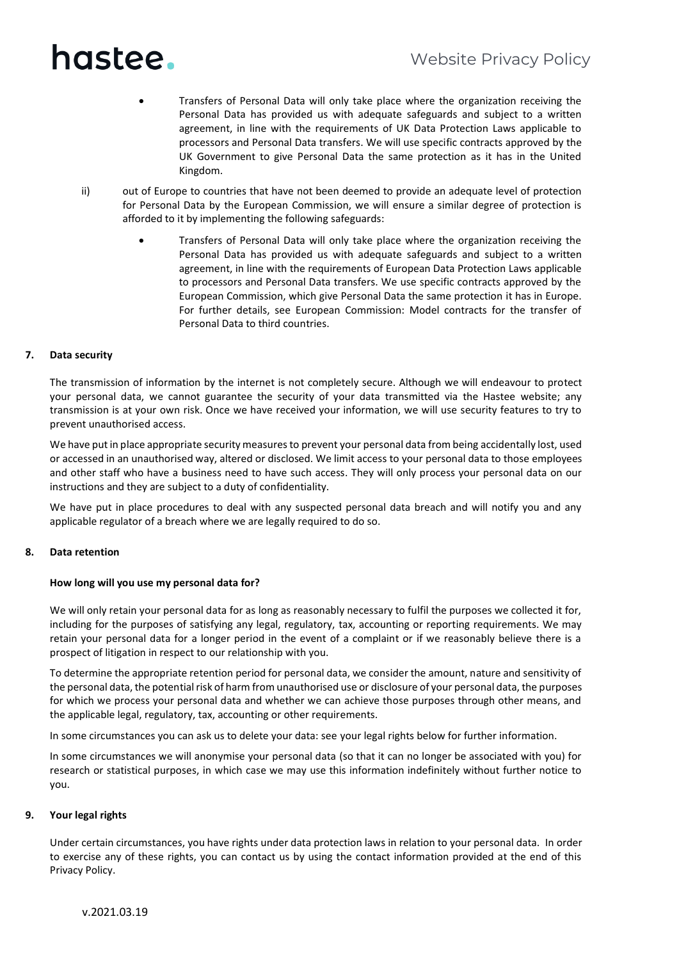- Transfers of Personal Data will only take place where the organization receiving the Personal Data has provided us with adequate safeguards and subject to a written agreement, in line with the requirements of UK Data Protection Laws applicable to processors and Personal Data transfers. We will use specific contracts approved by the UK Government to give Personal Data the same protection as it has in the United Kingdom.
- ii) out of Europe to countries that have not been deemed to provide an adequate level of protection for Personal Data by the European Commission, we will ensure a similar degree of protection is afforded to it by implementing the following safeguards:
	- Transfers of Personal Data will only take place where the organization receiving the Personal Data has provided us with adequate safeguards and subject to a written agreement, in line with the requirements of European Data Protection Laws applicable to processors and Personal Data transfers. We use specific contracts approved by the European Commission, which give Personal Data the same protection it has in Europe. For further details, see European Commission: Model contracts for the transfer of Personal Data to third countries.

#### **7. Data security**

The transmission of information by the internet is not completely secure. Although we will endeavour to protect your personal data, we cannot guarantee the security of your data transmitted via the Hastee website; any transmission is at your own risk. Once we have received your information, we will use security features to try to prevent unauthorised access.

We have put in place appropriate security measures to prevent your personal data from being accidentally lost, used or accessed in an unauthorised way, altered or disclosed. We limit access to your personal data to those employees and other staff who have a business need to have such access. They will only process your personal data on our instructions and they are subject to a duty of confidentiality.

We have put in place procedures to deal with any suspected personal data breach and will notify you and any applicable regulator of a breach where we are legally required to do so.

#### <span id="page-7-0"></span>**8. Data retention**

#### **How long will you use my personal data for?**

We will only retain your personal data for as long as reasonably necessary to fulfil the purposes we collected it for, including for the purposes of satisfying any legal, regulatory, tax, accounting or reporting requirements. We may retain your personal data for a longer period in the event of a complaint or if we reasonably believe there is a prospect of litigation in respect to our relationship with you.

To determine the appropriate retention period for personal data, we consider the amount, nature and sensitivity of the personal data, the potential risk of harm from unauthorised use or disclosure of your personal data, the purposes for which we process your personal data and whether we can achieve those purposes through other means, and the applicable legal, regulatory, tax, accounting or other requirements.

In some circumstances you can ask us to delete your data: see your legal rights below for further information.

In some circumstances we will anonymise your personal data (so that it can no longer be associated with you) for research or statistical purposes, in which case we may use this information indefinitely without further notice to you.

#### <span id="page-7-1"></span>**9. Your legal rights**

Under certain circumstances, you have rights under data protection laws in relation to your personal data. In order to exercise any of these rights, you can contact us by using the contact information provided at the end of this Privacy Policy.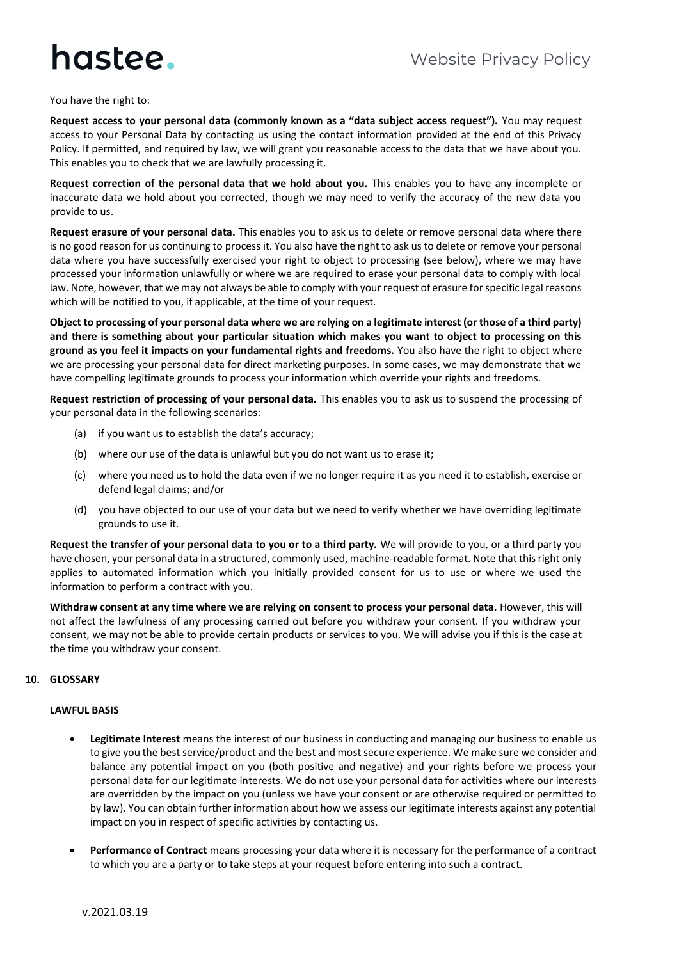#### You have the right to:

**Request access to your personal data (commonly known as a "data subject access request").** You may request access to your Personal Data by contacting us using the contact information provided at the end of this Privacy Policy. If permitted, and required by law, we will grant you reasonable access to the data that we have about you. This enables you to check that we are lawfully processing it.

**Request correction of the personal data that we hold about you.** This enables you to have any incomplete or inaccurate data we hold about you corrected, though we may need to verify the accuracy of the new data you provide to us.

**Request erasure of your personal data.** This enables you to ask us to delete or remove personal data where there is no good reason for us continuing to process it. You also have the right to ask us to delete or remove your personal data where you have successfully exercised your right to object to processing (see below), where we may have processed your information unlawfully or where we are required to erase your personal data to comply with local law. Note, however, that we may not always be able to comply with your request of erasure for specific legal reasons which will be notified to you, if applicable, at the time of your request.

**Object to processing of your personal data where we are relying on a legitimate interest (or those of a third party) and there is something about your particular situation which makes you want to object to processing on this ground as you feel it impacts on your fundamental rights and freedoms.** You also have the right to object where we are processing your personal data for direct marketing purposes. In some cases, we may demonstrate that we have compelling legitimate grounds to process your information which override your rights and freedoms.

**Request restriction of processing of your personal data.** This enables you to ask us to suspend the processing of your personal data in the following scenarios:

- (a) if you want us to establish the data's accuracy;
- (b) where our use of the data is unlawful but you do not want us to erase it;
- (c) where you need us to hold the data even if we no longer require it as you need it to establish, exercise or defend legal claims; and/or
- (d) you have objected to our use of your data but we need to verify whether we have overriding legitimate grounds to use it.

**Request the transfer of your personal data to you or to a third party.** We will provide to you, or a third party you have chosen, your personal data in a structured, commonly used, machine-readable format. Note that this right only applies to automated information which you initially provided consent for us to use or where we used the information to perform a contract with you.

Withdraw consent at any time where we are relying on consent to process your personal data. However, this will not affect the lawfulness of any processing carried out before you withdraw your consent. If you withdraw your consent, we may not be able to provide certain products or services to you. We will advise you if this is the case at the time you withdraw your consent.

#### **10. GLOSSARY**

#### **LAWFUL BASIS**

- **Legitimate Interest** means the interest of our business in conducting and managing our business to enable us to give you the best service/product and the best and most secure experience. We make sure we consider and balance any potential impact on you (both positive and negative) and your rights before we process your personal data for our legitimate interests. We do not use your personal data for activities where our interests are overridden by the impact on you (unless we have your consent or are otherwise required or permitted to by law). You can obtain further information about how we assess our legitimate interests against any potential impact on you in respect of specific activities by contacting us.
- **Performance of Contract** means processing your data where it is necessary for the performance of a contract to which you are a party or to take steps at your request before entering into such a contract.